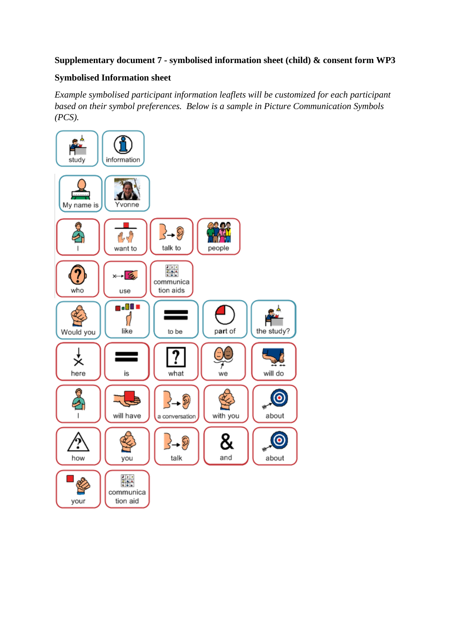## **Supplementary document 7 - symbolised information sheet (child) & consent form WP3**

## **Symbolised Information sheet**

*Example symbolised participant information leaflets will be customized for each participant based on their symbol preferences. Below is a sample in Picture Communication Symbols (PCS).*

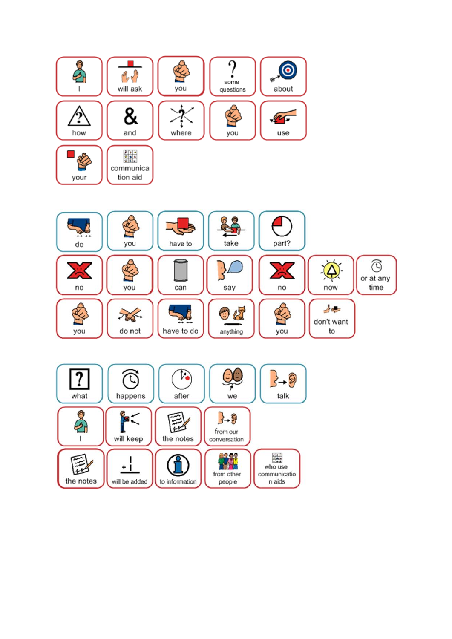

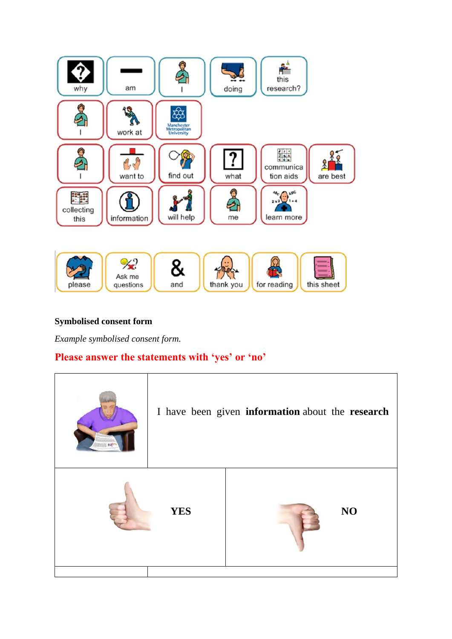

## **Symbolised consent form**

*Example symbolised consent form.*

## **Please answer the statements with 'yes' or 'no'**

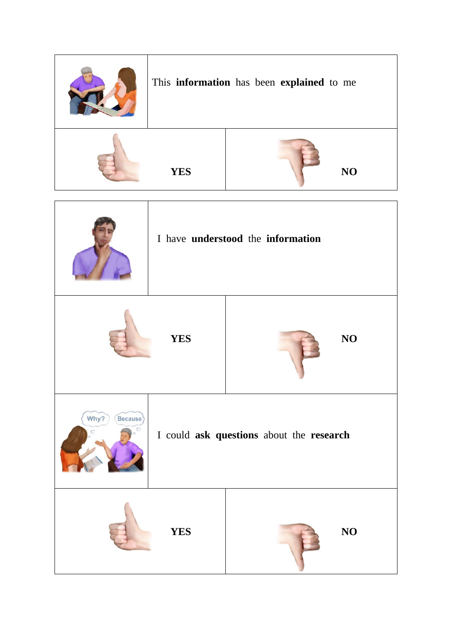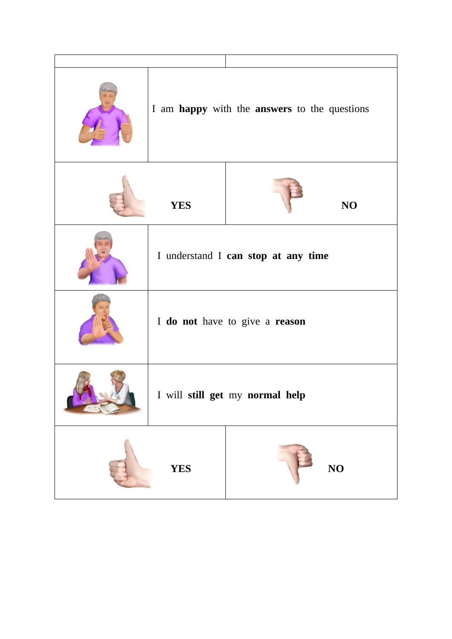|  | I am happy with the answers to the questions |  |                        |
|--|----------------------------------------------|--|------------------------|
|  | <b>YES</b>                                   |  | NO                     |
|  | I understand I can stop at any time          |  |                        |
|  | I do not have to give a reason               |  |                        |
|  | I will still get my normal help              |  |                        |
|  | <b>YES</b>                                   |  | $\overline{\text{NO}}$ |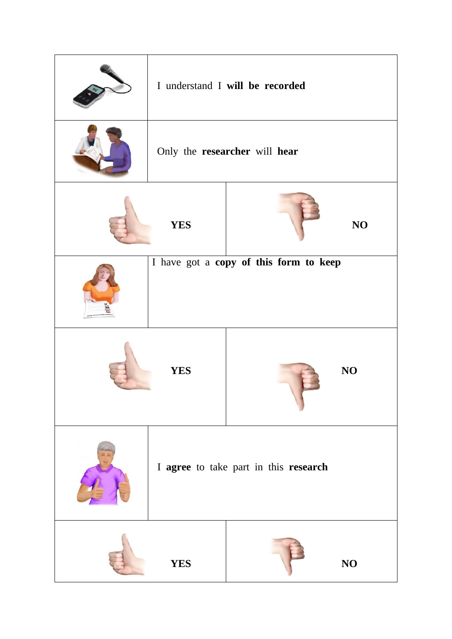